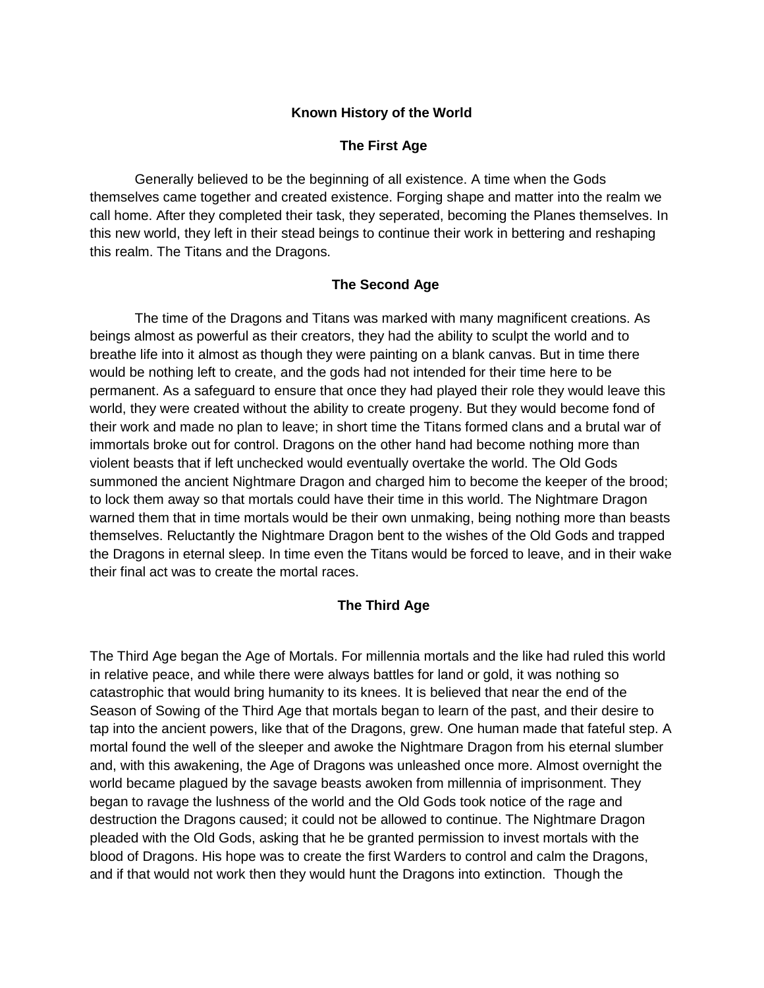### **Known History of the World**

## **The First Age**

Generally believed to be the beginning of all existence. A time when the Gods themselves came together and created existence. Forging shape and matter into the realm we call home. After they completed their task, they seperated, becoming the Planes themselves. In this new world, they left in their stead beings to continue their work in bettering and reshaping this realm. The Titans and the Dragons.

### **The Second Age**

The time of the Dragons and Titans was marked with many magnificent creations. As beings almost as powerful as their creators, they had the ability to sculpt the world and to breathe life into it almost as though they were painting on a blank canvas. But in time there would be nothing left to create, and the gods had not intended for their time here to be permanent. As a safeguard to ensure that once they had played their role they would leave this world, they were created without the ability to create progeny. But they would become fond of their work and made no plan to leave; in short time the Titans formed clans and a brutal war of immortals broke out for control. Dragons on the other hand had become nothing more than violent beasts that if left unchecked would eventually overtake the world. The Old Gods summoned the ancient Nightmare Dragon and charged him to become the keeper of the brood; to lock them away so that mortals could have their time in this world. The Nightmare Dragon warned them that in time mortals would be their own unmaking, being nothing more than beasts themselves. Reluctantly the Nightmare Dragon bent to the wishes of the Old Gods and trapped the Dragons in eternal sleep. In time even the Titans would be forced to leave, and in their wake their final act was to create the mortal races.

## **The Third Age**

The Third Age began the Age of Mortals. For millennia mortals and the like had ruled this world in relative peace, and while there were always battles for land or gold, it was nothing so catastrophic that would bring humanity to its knees. It is believed that near the end of the Season of Sowing of the Third Age that mortals began to learn of the past, and their desire to tap into the ancient powers, like that of the Dragons, grew. One human made that fateful step. A mortal found the well of the sleeper and awoke the Nightmare Dragon from his eternal slumber and, with this awakening, the Age of Dragons was unleashed once more. Almost overnight the world became plagued by the savage beasts awoken from millennia of imprisonment. They began to ravage the lushness of the world and the Old Gods took notice of the rage and destruction the Dragons caused; it could not be allowed to continue. The Nightmare Dragon pleaded with the Old Gods, asking that he be granted permission to invest mortals with the blood of Dragons. His hope was to create the first Warders to control and calm the Dragons, and if that would not work then they would hunt the Dragons into extinction. Though the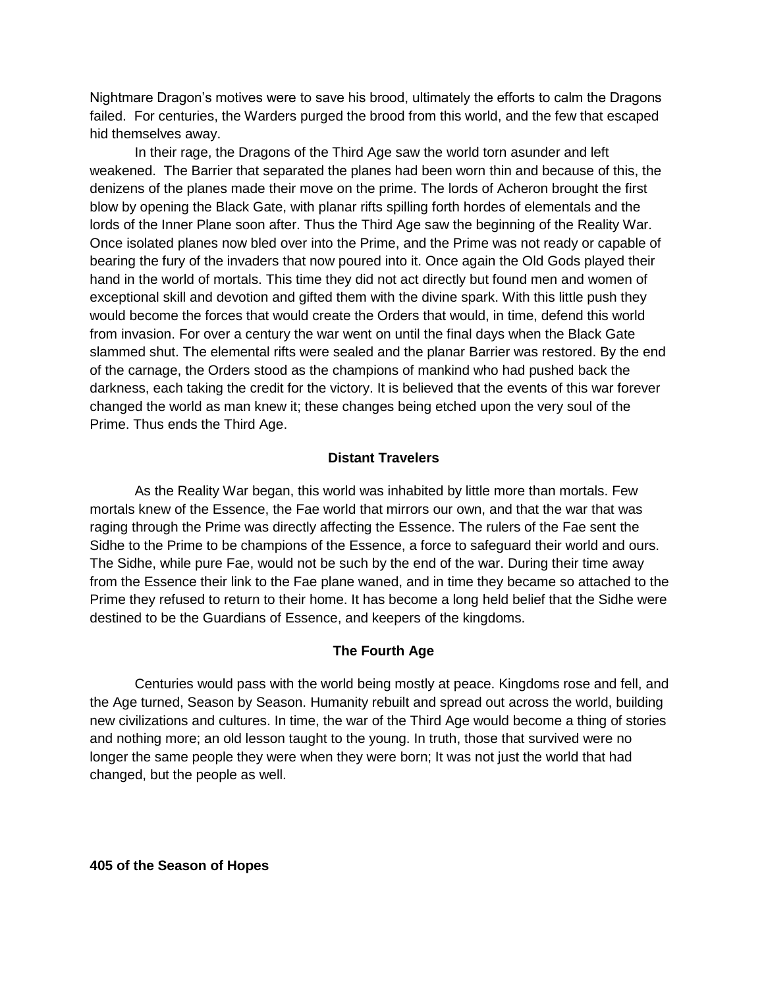Nightmare Dragon's motives were to save his brood, ultimately the efforts to calm the Dragons failed. For centuries, the Warders purged the brood from this world, and the few that escaped hid themselves away.

In their rage, the Dragons of the Third Age saw the world torn asunder and left weakened. The Barrier that separated the planes had been worn thin and because of this, the denizens of the planes made their move on the prime. The lords of Acheron brought the first blow by opening the Black Gate, with planar rifts spilling forth hordes of elementals and the lords of the Inner Plane soon after. Thus the Third Age saw the beginning of the Reality War. Once isolated planes now bled over into the Prime, and the Prime was not ready or capable of bearing the fury of the invaders that now poured into it. Once again the Old Gods played their hand in the world of mortals. This time they did not act directly but found men and women of exceptional skill and devotion and gifted them with the divine spark. With this little push they would become the forces that would create the Orders that would, in time, defend this world from invasion. For over a century the war went on until the final days when the Black Gate slammed shut. The elemental rifts were sealed and the planar Barrier was restored. By the end of the carnage, the Orders stood as the champions of mankind who had pushed back the darkness, each taking the credit for the victory. It is believed that the events of this war forever changed the world as man knew it; these changes being etched upon the very soul of the Prime. Thus ends the Third Age.

#### **Distant Travelers**

As the Reality War began, this world was inhabited by little more than mortals. Few mortals knew of the Essence, the Fae world that mirrors our own, and that the war that was raging through the Prime was directly affecting the Essence. The rulers of the Fae sent the Sidhe to the Prime to be champions of the Essence, a force to safeguard their world and ours. The Sidhe, while pure Fae, would not be such by the end of the war. During their time away from the Essence their link to the Fae plane waned, and in time they became so attached to the Prime they refused to return to their home. It has become a long held belief that the Sidhe were destined to be the Guardians of Essence, and keepers of the kingdoms.

### **The Fourth Age**

Centuries would pass with the world being mostly at peace. Kingdoms rose and fell, and the Age turned, Season by Season. Humanity rebuilt and spread out across the world, building new civilizations and cultures. In time, the war of the Third Age would become a thing of stories and nothing more; an old lesson taught to the young. In truth, those that survived were no longer the same people they were when they were born; It was not just the world that had changed, but the people as well.

**405 of the Season of Hopes**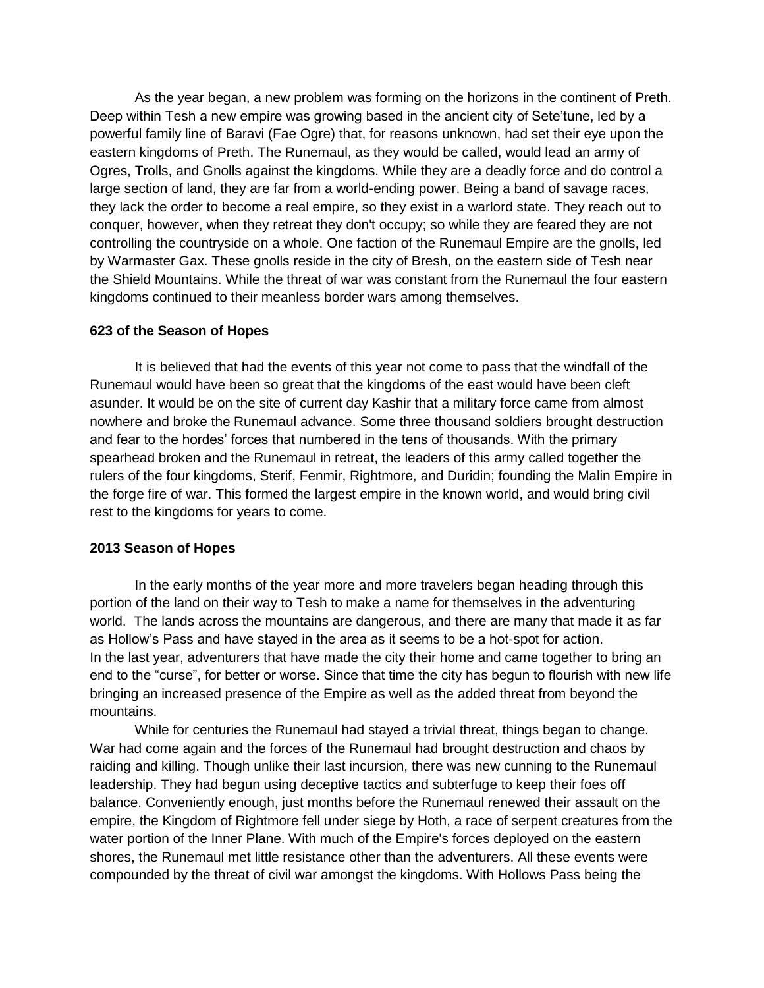As the year began, a new problem was forming on the horizons in the continent of Preth. Deep within Tesh a new empire was growing based in the ancient city of Sete'tune, led by a powerful family line of Baravi (Fae Ogre) that, for reasons unknown, had set their eye upon the eastern kingdoms of Preth. The Runemaul, as they would be called, would lead an army of Ogres, Trolls, and Gnolls against the kingdoms. While they are a deadly force and do control a large section of land, they are far from a world-ending power. Being a band of savage races, they lack the order to become a real empire, so they exist in a warlord state. They reach out to conquer, however, when they retreat they don't occupy; so while they are feared they are not controlling the countryside on a whole. One faction of the Runemaul Empire are the gnolls, led by Warmaster Gax. These gnolls reside in the city of Bresh, on the eastern side of Tesh near the Shield Mountains. While the threat of war was constant from the Runemaul the four eastern kingdoms continued to their meanless border wars among themselves.

#### **623 of the Season of Hopes**

It is believed that had the events of this year not come to pass that the windfall of the Runemaul would have been so great that the kingdoms of the east would have been cleft asunder. It would be on the site of current day Kashir that a military force came from almost nowhere and broke the Runemaul advance. Some three thousand soldiers brought destruction and fear to the hordes' forces that numbered in the tens of thousands. With the primary spearhead broken and the Runemaul in retreat, the leaders of this army called together the rulers of the four kingdoms, Sterif, Fenmir, Rightmore, and Duridin; founding the Malin Empire in the forge fire of war. This formed the largest empire in the known world, and would bring civil rest to the kingdoms for years to come.

#### **2013 Season of Hopes**

In the early months of the year more and more travelers began heading through this portion of the land on their way to Tesh to make a name for themselves in the adventuring world. The lands across the mountains are dangerous, and there are many that made it as far as Hollow's Pass and have stayed in the area as it seems to be a hot-spot for action. In the last year, adventurers that have made the city their home and came together to bring an end to the "curse", for better or worse. Since that time the city has begun to flourish with new life bringing an increased presence of the Empire as well as the added threat from beyond the mountains.

While for centuries the Runemaul had stayed a trivial threat, things began to change. War had come again and the forces of the Runemaul had brought destruction and chaos by raiding and killing. Though unlike their last incursion, there was new cunning to the Runemaul leadership. They had begun using deceptive tactics and subterfuge to keep their foes off balance. Conveniently enough, just months before the Runemaul renewed their assault on the empire, the Kingdom of Rightmore fell under siege by Hoth, a race of serpent creatures from the water portion of the Inner Plane. With much of the Empire's forces deployed on the eastern shores, the Runemaul met little resistance other than the adventurers. All these events were compounded by the threat of civil war amongst the kingdoms. With Hollows Pass being the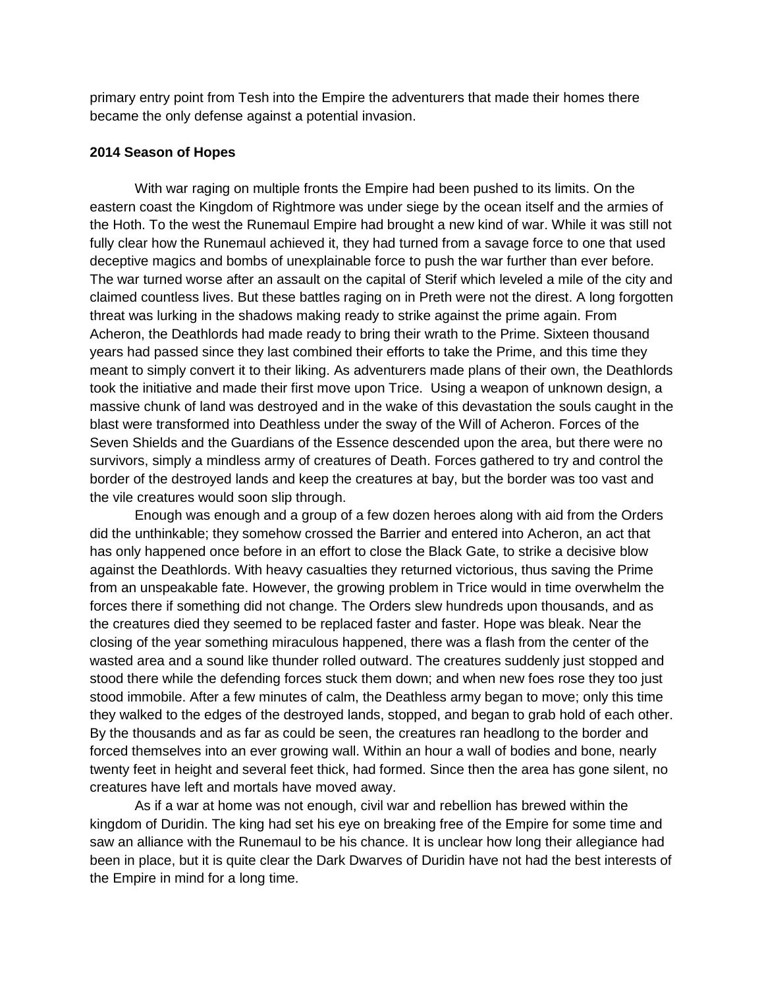primary entry point from Tesh into the Empire the adventurers that made their homes there became the only defense against a potential invasion.

## **2014 Season of Hopes**

With war raging on multiple fronts the Empire had been pushed to its limits. On the eastern coast the Kingdom of Rightmore was under siege by the ocean itself and the armies of the Hoth. To the west the Runemaul Empire had brought a new kind of war. While it was still not fully clear how the Runemaul achieved it, they had turned from a savage force to one that used deceptive magics and bombs of unexplainable force to push the war further than ever before. The war turned worse after an assault on the capital of Sterif which leveled a mile of the city and claimed countless lives. But these battles raging on in Preth were not the direst. A long forgotten threat was lurking in the shadows making ready to strike against the prime again. From Acheron, the Deathlords had made ready to bring their wrath to the Prime. Sixteen thousand years had passed since they last combined their efforts to take the Prime, and this time they meant to simply convert it to their liking. As adventurers made plans of their own, the Deathlords took the initiative and made their first move upon Trice. Using a weapon of unknown design, a massive chunk of land was destroyed and in the wake of this devastation the souls caught in the blast were transformed into Deathless under the sway of the Will of Acheron. Forces of the Seven Shields and the Guardians of the Essence descended upon the area, but there were no survivors, simply a mindless army of creatures of Death. Forces gathered to try and control the border of the destroyed lands and keep the creatures at bay, but the border was too vast and the vile creatures would soon slip through.

Enough was enough and a group of a few dozen heroes along with aid from the Orders did the unthinkable; they somehow crossed the Barrier and entered into Acheron, an act that has only happened once before in an effort to close the Black Gate, to strike a decisive blow against the Deathlords. With heavy casualties they returned victorious, thus saving the Prime from an unspeakable fate. However, the growing problem in Trice would in time overwhelm the forces there if something did not change. The Orders slew hundreds upon thousands, and as the creatures died they seemed to be replaced faster and faster. Hope was bleak. Near the closing of the year something miraculous happened, there was a flash from the center of the wasted area and a sound like thunder rolled outward. The creatures suddenly just stopped and stood there while the defending forces stuck them down; and when new foes rose they too just stood immobile. After a few minutes of calm, the Deathless army began to move; only this time they walked to the edges of the destroyed lands, stopped, and began to grab hold of each other. By the thousands and as far as could be seen, the creatures ran headlong to the border and forced themselves into an ever growing wall. Within an hour a wall of bodies and bone, nearly twenty feet in height and several feet thick, had formed. Since then the area has gone silent, no creatures have left and mortals have moved away.

As if a war at home was not enough, civil war and rebellion has brewed within the kingdom of Duridin. The king had set his eye on breaking free of the Empire for some time and saw an alliance with the Runemaul to be his chance. It is unclear how long their allegiance had been in place, but it is quite clear the Dark Dwarves of Duridin have not had the best interests of the Empire in mind for a long time.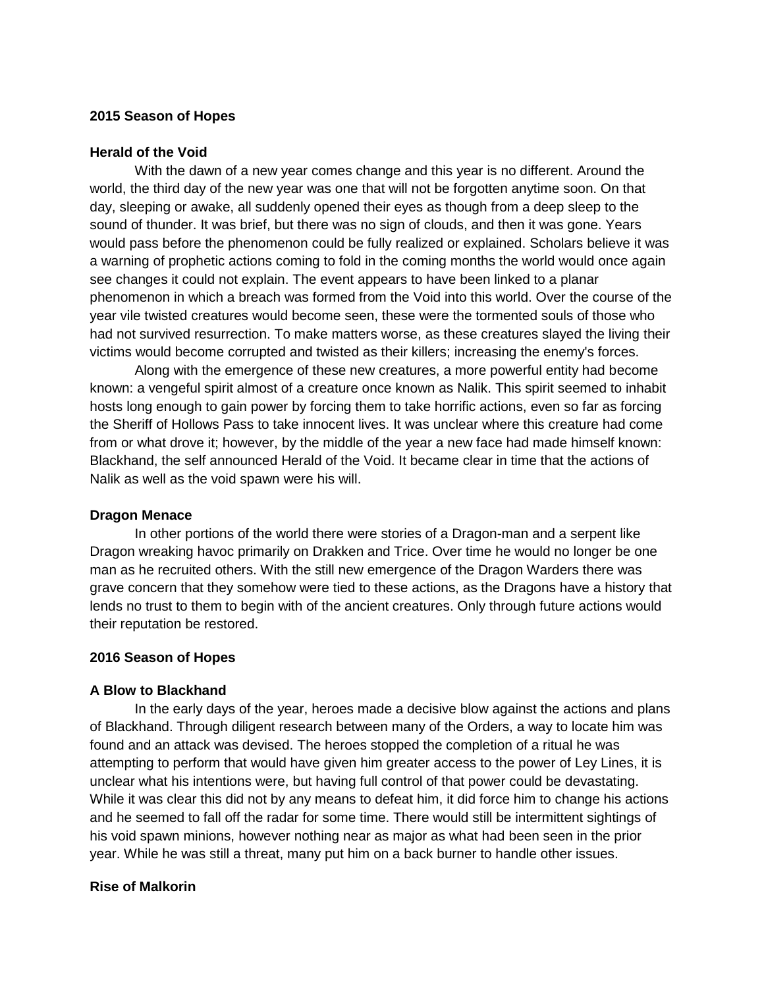## **2015 Season of Hopes**

#### **Herald of the Void**

With the dawn of a new year comes change and this year is no different. Around the world, the third day of the new year was one that will not be forgotten anytime soon. On that day, sleeping or awake, all suddenly opened their eyes as though from a deep sleep to the sound of thunder. It was brief, but there was no sign of clouds, and then it was gone. Years would pass before the phenomenon could be fully realized or explained. Scholars believe it was a warning of prophetic actions coming to fold in the coming months the world would once again see changes it could not explain. The event appears to have been linked to a planar phenomenon in which a breach was formed from the Void into this world. Over the course of the year vile twisted creatures would become seen, these were the tormented souls of those who had not survived resurrection. To make matters worse, as these creatures slayed the living their victims would become corrupted and twisted as their killers; increasing the enemy's forces.

Along with the emergence of these new creatures, a more powerful entity had become known: a vengeful spirit almost of a creature once known as Nalik. This spirit seemed to inhabit hosts long enough to gain power by forcing them to take horrific actions, even so far as forcing the Sheriff of Hollows Pass to take innocent lives. It was unclear where this creature had come from or what drove it; however, by the middle of the year a new face had made himself known: Blackhand, the self announced Herald of the Void. It became clear in time that the actions of Nalik as well as the void spawn were his will.

### **Dragon Menace**

In other portions of the world there were stories of a Dragon-man and a serpent like Dragon wreaking havoc primarily on Drakken and Trice. Over time he would no longer be one man as he recruited others. With the still new emergence of the Dragon Warders there was grave concern that they somehow were tied to these actions, as the Dragons have a history that lends no trust to them to begin with of the ancient creatures. Only through future actions would their reputation be restored.

### **2016 Season of Hopes**

### **A Blow to Blackhand**

In the early days of the year, heroes made a decisive blow against the actions and plans of Blackhand. Through diligent research between many of the Orders, a way to locate him was found and an attack was devised. The heroes stopped the completion of a ritual he was attempting to perform that would have given him greater access to the power of Ley Lines, it is unclear what his intentions were, but having full control of that power could be devastating. While it was clear this did not by any means to defeat him, it did force him to change his actions and he seemed to fall off the radar for some time. There would still be intermittent sightings of his void spawn minions, however nothing near as major as what had been seen in the prior year. While he was still a threat, many put him on a back burner to handle other issues.

#### **Rise of Malkorin**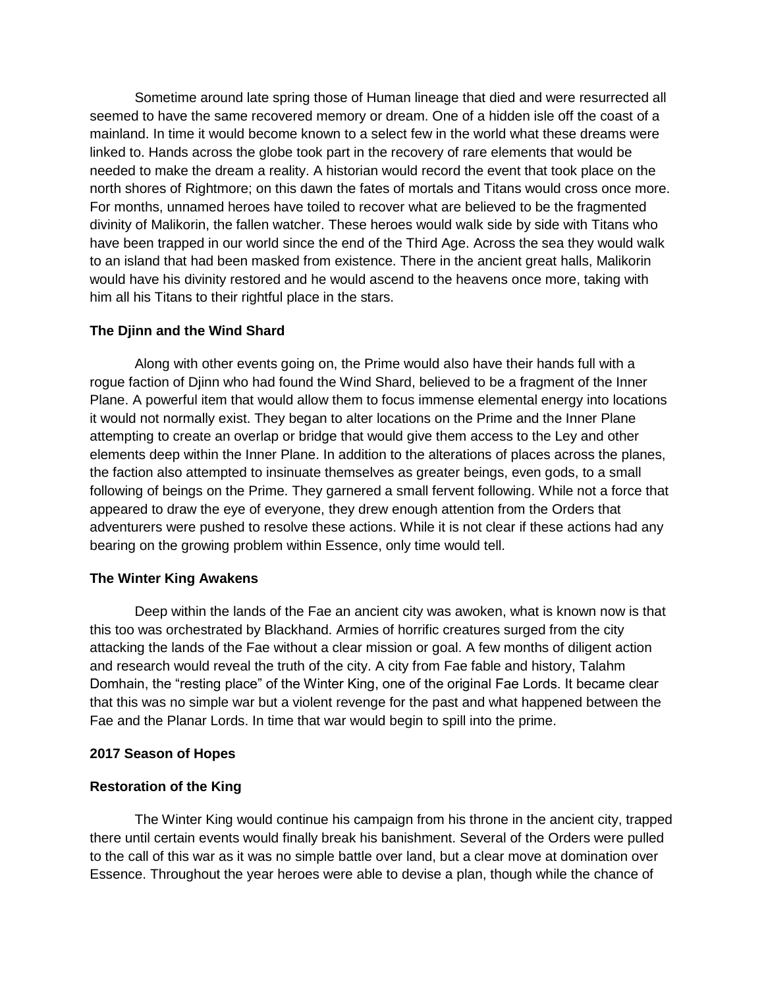Sometime around late spring those of Human lineage that died and were resurrected all seemed to have the same recovered memory or dream. One of a hidden isle off the coast of a mainland. In time it would become known to a select few in the world what these dreams were linked to. Hands across the globe took part in the recovery of rare elements that would be needed to make the dream a reality. A historian would record the event that took place on the north shores of Rightmore; on this dawn the fates of mortals and Titans would cross once more. For months, unnamed heroes have toiled to recover what are believed to be the fragmented divinity of Malikorin, the fallen watcher. These heroes would walk side by side with Titans who have been trapped in our world since the end of the Third Age. Across the sea they would walk to an island that had been masked from existence. There in the ancient great halls, Malikorin would have his divinity restored and he would ascend to the heavens once more, taking with him all his Titans to their rightful place in the stars.

# **The Djinn and the Wind Shard**

Along with other events going on, the Prime would also have their hands full with a rogue faction of Djinn who had found the Wind Shard, believed to be a fragment of the Inner Plane. A powerful item that would allow them to focus immense elemental energy into locations it would not normally exist. They began to alter locations on the Prime and the Inner Plane attempting to create an overlap or bridge that would give them access to the Ley and other elements deep within the Inner Plane. In addition to the alterations of places across the planes, the faction also attempted to insinuate themselves as greater beings, even gods, to a small following of beings on the Prime. They garnered a small fervent following. While not a force that appeared to draw the eye of everyone, they drew enough attention from the Orders that adventurers were pushed to resolve these actions. While it is not clear if these actions had any bearing on the growing problem within Essence, only time would tell.

### **The Winter King Awakens**

Deep within the lands of the Fae an ancient city was awoken, what is known now is that this too was orchestrated by Blackhand. Armies of horrific creatures surged from the city attacking the lands of the Fae without a clear mission or goal. A few months of diligent action and research would reveal the truth of the city. A city from Fae fable and history, Talahm Domhain, the "resting place" of the Winter King, one of the original Fae Lords. It became clear that this was no simple war but a violent revenge for the past and what happened between the Fae and the Planar Lords. In time that war would begin to spill into the prime.

### **2017 Season of Hopes**

# **Restoration of the King**

The Winter King would continue his campaign from his throne in the ancient city, trapped there until certain events would finally break his banishment. Several of the Orders were pulled to the call of this war as it was no simple battle over land, but a clear move at domination over Essence. Throughout the year heroes were able to devise a plan, though while the chance of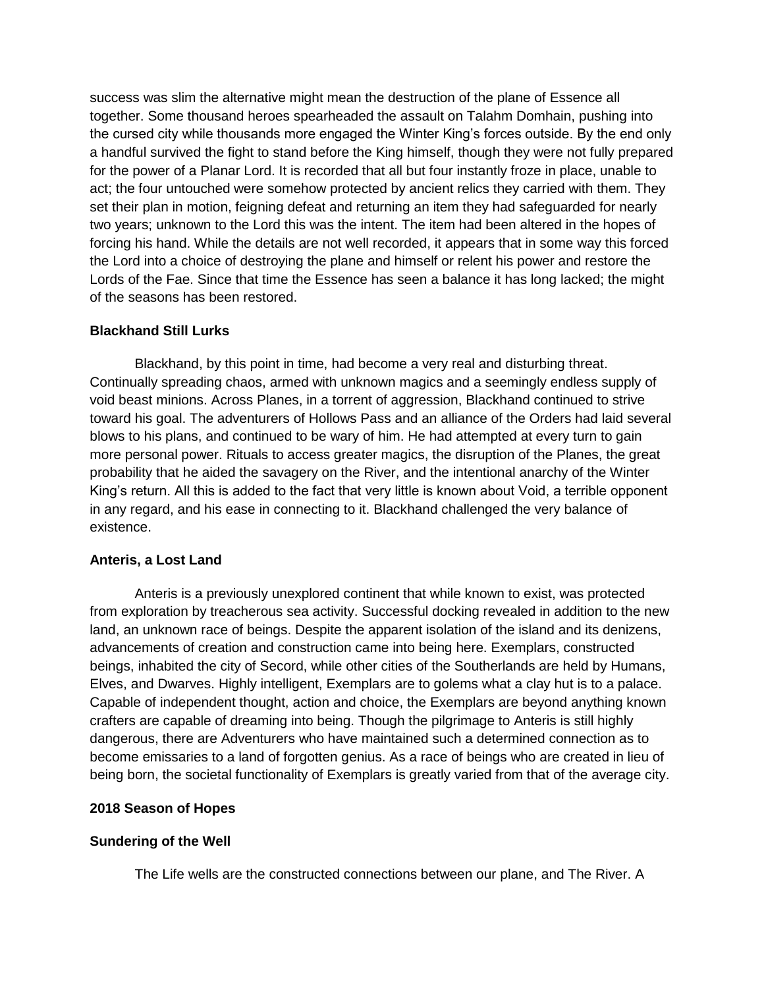success was slim the alternative might mean the destruction of the plane of Essence all together. Some thousand heroes spearheaded the assault on Talahm Domhain, pushing into the cursed city while thousands more engaged the Winter King's forces outside. By the end only a handful survived the fight to stand before the King himself, though they were not fully prepared for the power of a Planar Lord. It is recorded that all but four instantly froze in place, unable to act; the four untouched were somehow protected by ancient relics they carried with them. They set their plan in motion, feigning defeat and returning an item they had safeguarded for nearly two years; unknown to the Lord this was the intent. The item had been altered in the hopes of forcing his hand. While the details are not well recorded, it appears that in some way this forced the Lord into a choice of destroying the plane and himself or relent his power and restore the Lords of the Fae. Since that time the Essence has seen a balance it has long lacked; the might of the seasons has been restored.

## **Blackhand Still Lurks**

Blackhand, by this point in time, had become a very real and disturbing threat. Continually spreading chaos, armed with unknown magics and a seemingly endless supply of void beast minions. Across Planes, in a torrent of aggression, Blackhand continued to strive toward his goal. The adventurers of Hollows Pass and an alliance of the Orders had laid several blows to his plans, and continued to be wary of him. He had attempted at every turn to gain more personal power. Rituals to access greater magics, the disruption of the Planes, the great probability that he aided the savagery on the River, and the intentional anarchy of the Winter King's return. All this is added to the fact that very little is known about Void, a terrible opponent in any regard, and his ease in connecting to it. Blackhand challenged the very balance of existence.

# **Anteris, a Lost Land**

Anteris is a previously unexplored continent that while known to exist, was protected from exploration by treacherous sea activity. Successful docking revealed in addition to the new land, an unknown race of beings. Despite the apparent isolation of the island and its denizens, advancements of creation and construction came into being here. Exemplars, constructed beings, inhabited the city of Secord, while other cities of the Southerlands are held by Humans, Elves, and Dwarves. Highly intelligent, Exemplars are to golems what a clay hut is to a palace. Capable of independent thought, action and choice, the Exemplars are beyond anything known crafters are capable of dreaming into being. Though the pilgrimage to Anteris is still highly dangerous, there are Adventurers who have maintained such a determined connection as to become emissaries to a land of forgotten genius. As a race of beings who are created in lieu of being born, the societal functionality of Exemplars is greatly varied from that of the average city.

### **2018 Season of Hopes**

# **Sundering of the Well**

The Life wells are the constructed connections between our plane, and The River. A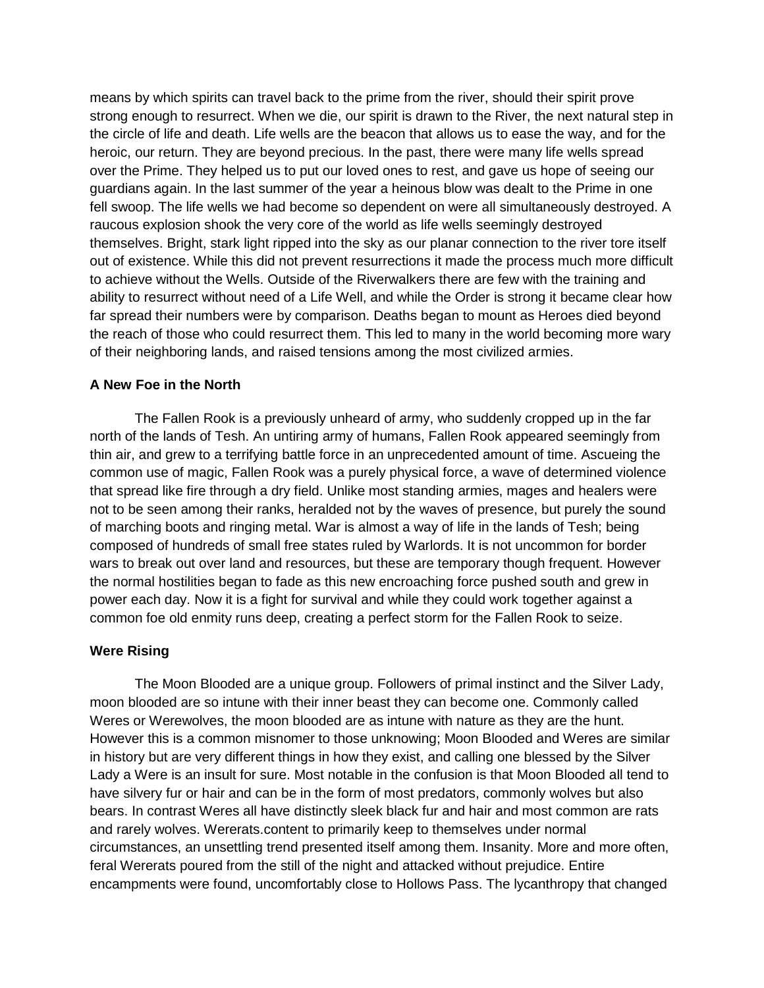means by which spirits can travel back to the prime from the river, should their spirit prove strong enough to resurrect. When we die, our spirit is drawn to the River, the next natural step in the circle of life and death. Life wells are the beacon that allows us to ease the way, and for the heroic, our return. They are beyond precious. In the past, there were many life wells spread over the Prime. They helped us to put our loved ones to rest, and gave us hope of seeing our guardians again. In the last summer of the year a heinous blow was dealt to the Prime in one fell swoop. The life wells we had become so dependent on were all simultaneously destroyed. A raucous explosion shook the very core of the world as life wells seemingly destroyed themselves. Bright, stark light ripped into the sky as our planar connection to the river tore itself out of existence. While this did not prevent resurrections it made the process much more difficult to achieve without the Wells. Outside of the Riverwalkers there are few with the training and ability to resurrect without need of a Life Well, and while the Order is strong it became clear how far spread their numbers were by comparison. Deaths began to mount as Heroes died beyond the reach of those who could resurrect them. This led to many in the world becoming more wary of their neighboring lands, and raised tensions among the most civilized armies.

## **A New Foe in the North**

The Fallen Rook is a previously unheard of army, who suddenly cropped up in the far north of the lands of Tesh. An untiring army of humans, Fallen Rook appeared seemingly from thin air, and grew to a terrifying battle force in an unprecedented amount of time. Ascueing the common use of magic, Fallen Rook was a purely physical force, a wave of determined violence that spread like fire through a dry field. Unlike most standing armies, mages and healers were not to be seen among their ranks, heralded not by the waves of presence, but purely the sound of marching boots and ringing metal. War is almost a way of life in the lands of Tesh; being composed of hundreds of small free states ruled by Warlords. It is not uncommon for border wars to break out over land and resources, but these are temporary though frequent. However the normal hostilities began to fade as this new encroaching force pushed south and grew in power each day. Now it is a fight for survival and while they could work together against a common foe old enmity runs deep, creating a perfect storm for the Fallen Rook to seize.

### **Were Rising**

The Moon Blooded are a unique group. Followers of primal instinct and the Silver Lady, moon blooded are so intune with their inner beast they can become one. Commonly called Weres or Werewolves, the moon blooded are as intune with nature as they are the hunt. However this is a common misnomer to those unknowing; Moon Blooded and Weres are similar in history but are very different things in how they exist, and calling one blessed by the Silver Lady a Were is an insult for sure. Most notable in the confusion is that Moon Blooded all tend to have silvery fur or hair and can be in the form of most predators, commonly wolves but also bears. In contrast Weres all have distinctly sleek black fur and hair and most common are rats and rarely wolves. Wererats.content to primarily keep to themselves under normal circumstances, an unsettling trend presented itself among them. Insanity. More and more often, feral Wererats poured from the still of the night and attacked without prejudice. Entire encampments were found, uncomfortably close to Hollows Pass. The lycanthropy that changed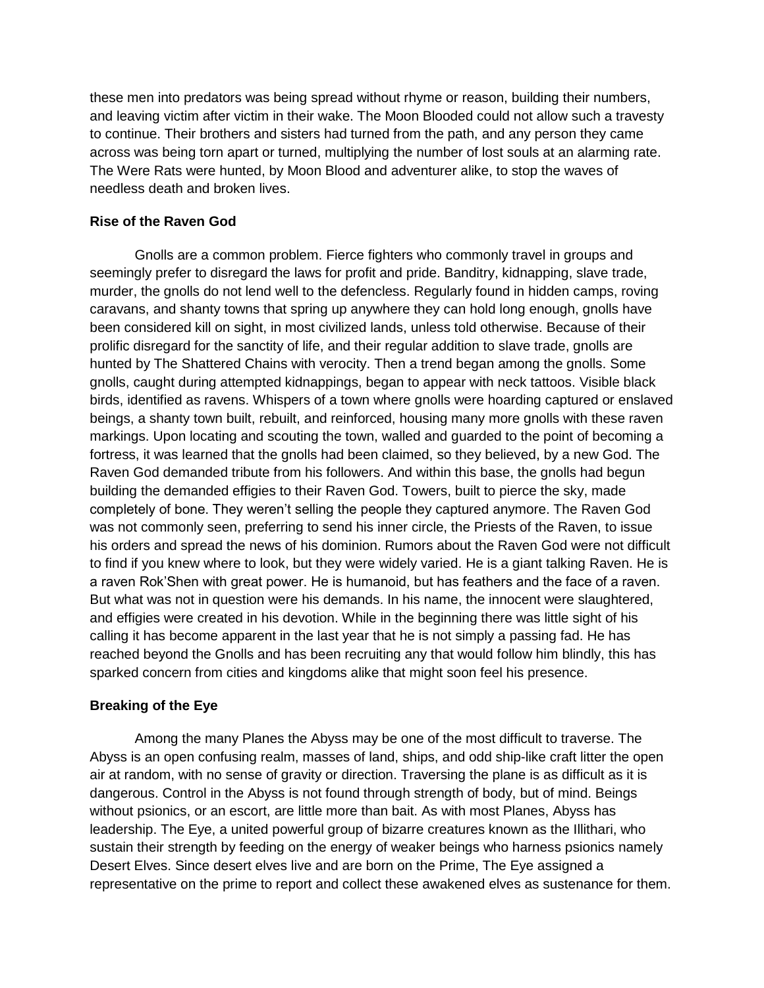these men into predators was being spread without rhyme or reason, building their numbers, and leaving victim after victim in their wake. The Moon Blooded could not allow such a travesty to continue. Their brothers and sisters had turned from the path, and any person they came across was being torn apart or turned, multiplying the number of lost souls at an alarming rate. The Were Rats were hunted, by Moon Blood and adventurer alike, to stop the waves of needless death and broken lives.

# **Rise of the Raven God**

Gnolls are a common problem. Fierce fighters who commonly travel in groups and seemingly prefer to disregard the laws for profit and pride. Banditry, kidnapping, slave trade, murder, the gnolls do not lend well to the defencless. Regularly found in hidden camps, roving caravans, and shanty towns that spring up anywhere they can hold long enough, gnolls have been considered kill on sight, in most civilized lands, unless told otherwise. Because of their prolific disregard for the sanctity of life, and their regular addition to slave trade, gnolls are hunted by The Shattered Chains with verocity. Then a trend began among the gnolls. Some gnolls, caught during attempted kidnappings, began to appear with neck tattoos. Visible black birds, identified as ravens. Whispers of a town where gnolls were hoarding captured or enslaved beings, a shanty town built, rebuilt, and reinforced, housing many more gnolls with these raven markings. Upon locating and scouting the town, walled and guarded to the point of becoming a fortress, it was learned that the gnolls had been claimed, so they believed, by a new God. The Raven God demanded tribute from his followers. And within this base, the gnolls had begun building the demanded effigies to their Raven God. Towers, built to pierce the sky, made completely of bone. They weren't selling the people they captured anymore. The Raven God was not commonly seen, preferring to send his inner circle, the Priests of the Raven, to issue his orders and spread the news of his dominion. Rumors about the Raven God were not difficult to find if you knew where to look, but they were widely varied. He is a giant talking Raven. He is a raven Rok'Shen with great power. He is humanoid, but has feathers and the face of a raven. But what was not in question were his demands. In his name, the innocent were slaughtered, and effigies were created in his devotion. While in the beginning there was little sight of his calling it has become apparent in the last year that he is not simply a passing fad. He has reached beyond the Gnolls and has been recruiting any that would follow him blindly, this has sparked concern from cities and kingdoms alike that might soon feel his presence.

# **Breaking of the Eye**

Among the many Planes the Abyss may be one of the most difficult to traverse. The Abyss is an open confusing realm, masses of land, ships, and odd ship-like craft litter the open air at random, with no sense of gravity or direction. Traversing the plane is as difficult as it is dangerous. Control in the Abyss is not found through strength of body, but of mind. Beings without psionics, or an escort, are little more than bait. As with most Planes, Abyss has leadership. The Eye, a united powerful group of bizarre creatures known as the Illithari, who sustain their strength by feeding on the energy of weaker beings who harness psionics namely Desert Elves. Since desert elves live and are born on the Prime, The Eye assigned a representative on the prime to report and collect these awakened elves as sustenance for them.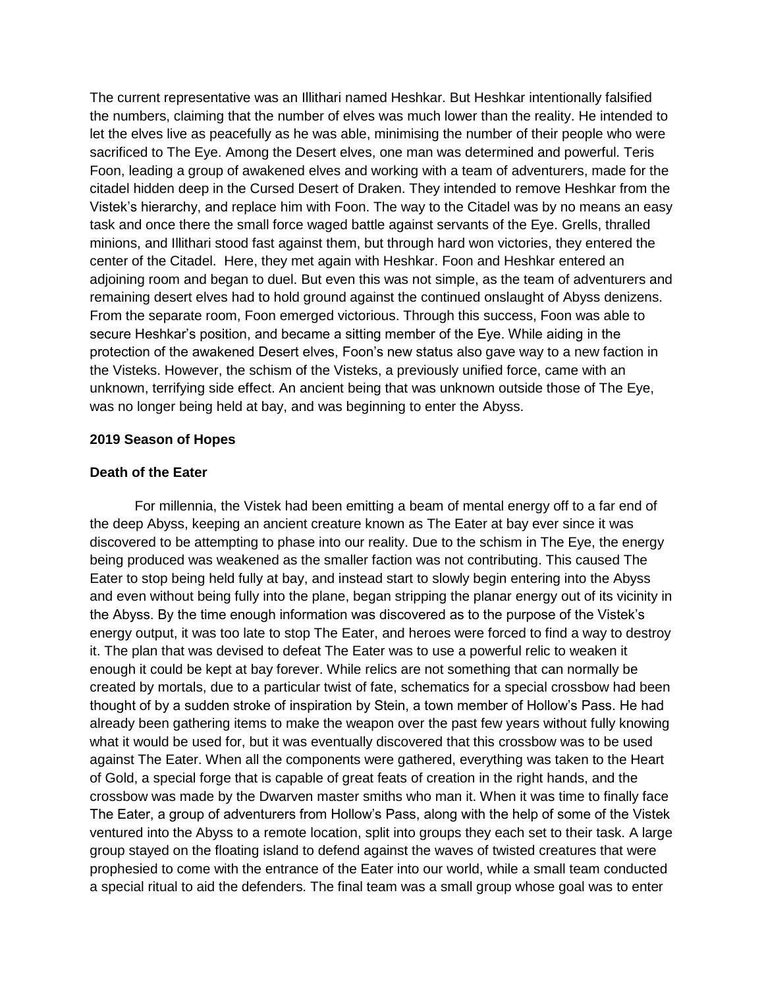The current representative was an Illithari named Heshkar. But Heshkar intentionally falsified the numbers, claiming that the number of elves was much lower than the reality. He intended to let the elves live as peacefully as he was able, minimising the number of their people who were sacrificed to The Eye. Among the Desert elves, one man was determined and powerful. Teris Foon, leading a group of awakened elves and working with a team of adventurers, made for the citadel hidden deep in the Cursed Desert of Draken. They intended to remove Heshkar from the Vistek's hierarchy, and replace him with Foon. The way to the Citadel was by no means an easy task and once there the small force waged battle against servants of the Eye. Grells, thralled minions, and Illithari stood fast against them, but through hard won victories, they entered the center of the Citadel. Here, they met again with Heshkar. Foon and Heshkar entered an adjoining room and began to duel. But even this was not simple, as the team of adventurers and remaining desert elves had to hold ground against the continued onslaught of Abyss denizens. From the separate room, Foon emerged victorious. Through this success, Foon was able to secure Heshkar's position, and became a sitting member of the Eye. While aiding in the protection of the awakened Desert elves, Foon's new status also gave way to a new faction in the Visteks. However, the schism of the Visteks, a previously unified force, came with an unknown, terrifying side effect. An ancient being that was unknown outside those of The Eye, was no longer being held at bay, and was beginning to enter the Abyss.

### **2019 Season of Hopes**

### **Death of the Eater**

For millennia, the Vistek had been emitting a beam of mental energy off to a far end of the deep Abyss, keeping an ancient creature known as The Eater at bay ever since it was discovered to be attempting to phase into our reality. Due to the schism in The Eye, the energy being produced was weakened as the smaller faction was not contributing. This caused The Eater to stop being held fully at bay, and instead start to slowly begin entering into the Abyss and even without being fully into the plane, began stripping the planar energy out of its vicinity in the Abyss. By the time enough information was discovered as to the purpose of the Vistek's energy output, it was too late to stop The Eater, and heroes were forced to find a way to destroy it. The plan that was devised to defeat The Eater was to use a powerful relic to weaken it enough it could be kept at bay forever. While relics are not something that can normally be created by mortals, due to a particular twist of fate, schematics for a special crossbow had been thought of by a sudden stroke of inspiration by Stein, a town member of Hollow's Pass. He had already been gathering items to make the weapon over the past few years without fully knowing what it would be used for, but it was eventually discovered that this crossbow was to be used against The Eater. When all the components were gathered, everything was taken to the Heart of Gold, a special forge that is capable of great feats of creation in the right hands, and the crossbow was made by the Dwarven master smiths who man it. When it was time to finally face The Eater, a group of adventurers from Hollow's Pass, along with the help of some of the Vistek ventured into the Abyss to a remote location, split into groups they each set to their task. A large group stayed on the floating island to defend against the waves of twisted creatures that were prophesied to come with the entrance of the Eater into our world, while a small team conducted a special ritual to aid the defenders. The final team was a small group whose goal was to enter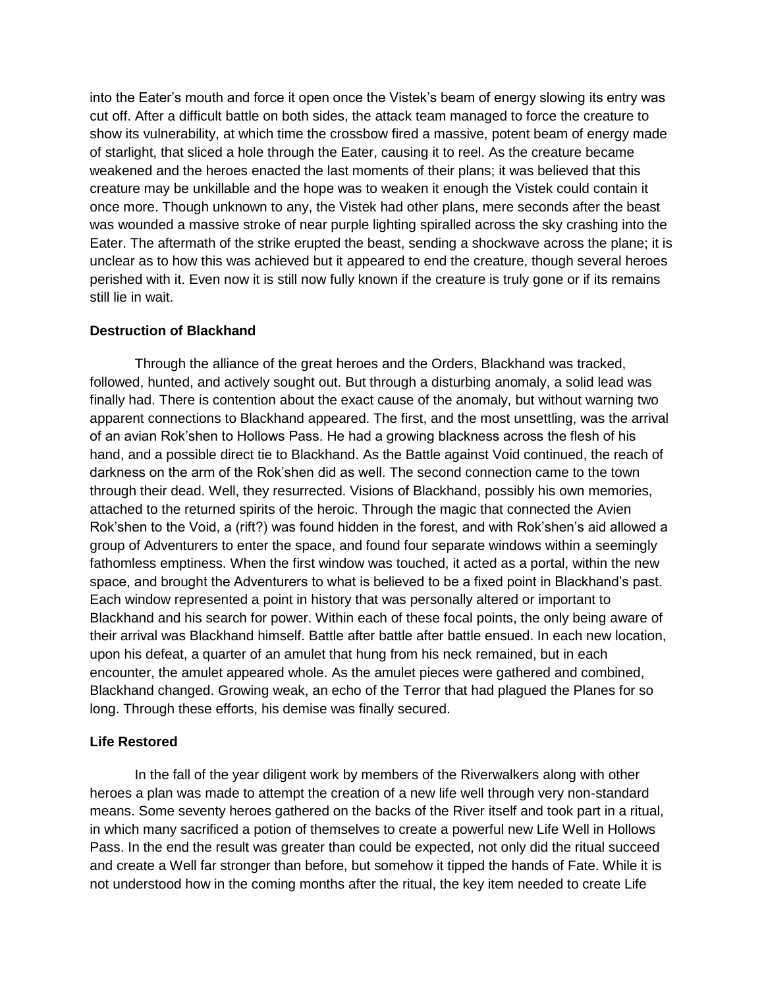into the Eater's mouth and force it open once the Vistek's beam of energy slowing its entry was cut off. After a difficult battle on both sides, the attack team managed to force the creature to show its vulnerability, at which time the crossbow fired a massive, potent beam of energy made of starlight, that sliced a hole through the Eater, causing it to reel. As the creature became weakened and the heroes enacted the last moments of their plans; it was believed that this creature may be unkillable and the hope was to weaken it enough the Vistek could contain it once more. Though unknown to any, the Vistek had other plans, mere seconds after the beast was wounded a massive stroke of near purple lighting spiralled across the sky crashing into the Eater. The aftermath of the strike erupted the beast, sending a shockwave across the plane; it is unclear as to how this was achieved but it appeared to end the creature, though several heroes perished with it. Even now it is still now fully known if the creature is truly gone or if its remains still lie in wait.

### **Destruction of Blackhand**

Through the alliance of the great heroes and the Orders, Blackhand was tracked, followed, hunted, and actively sought out. But through a disturbing anomaly, a solid lead was finally had. There is contention about the exact cause of the anomaly, but without warning two apparent connections to Blackhand appeared. The first, and the most unsettling, was the arrival of an avian Rok'shen to Hollows Pass. He had a growing blackness across the flesh of his hand, and a possible direct tie to Blackhand. As the Battle against Void continued, the reach of darkness on the arm of the Rok'shen did as well. The second connection came to the town through their dead. Well, they resurrected. Visions of Blackhand, possibly his own memories, attached to the returned spirits of the heroic. Through the magic that connected the Avien Rok'shen to the Void, a (rift?) was found hidden in the forest, and with Rok'shen's aid allowed a group of Adventurers to enter the space, and found four separate windows within a seemingly fathomless emptiness. When the first window was touched, it acted as a portal, within the new space, and brought the Adventurers to what is believed to be a fixed point in Blackhand's past. Each window represented a point in history that was personally altered or important to Blackhand and his search for power. Within each of these focal points, the only being aware of their arrival was Blackhand himself. Battle after battle after battle ensued. In each new location, upon his defeat, a quarter of an amulet that hung from his neck remained, but in each encounter, the amulet appeared whole. As the amulet pieces were gathered and combined, Blackhand changed. Growing weak, an echo of the Terror that had plagued the Planes for so long. Through these efforts, his demise was finally secured.

# **Life Restored**

In the fall of the year diligent work by members of the Riverwalkers along with other heroes a plan was made to attempt the creation of a new life well through very non-standard means. Some seventy heroes gathered on the backs of the River itself and took part in a ritual, in which many sacrificed a potion of themselves to create a powerful new Life Well in Hollows Pass. In the end the result was greater than could be expected, not only did the ritual succeed and create a Well far stronger than before, but somehow it tipped the hands of Fate. While it is not understood how in the coming months after the ritual, the key item needed to create Life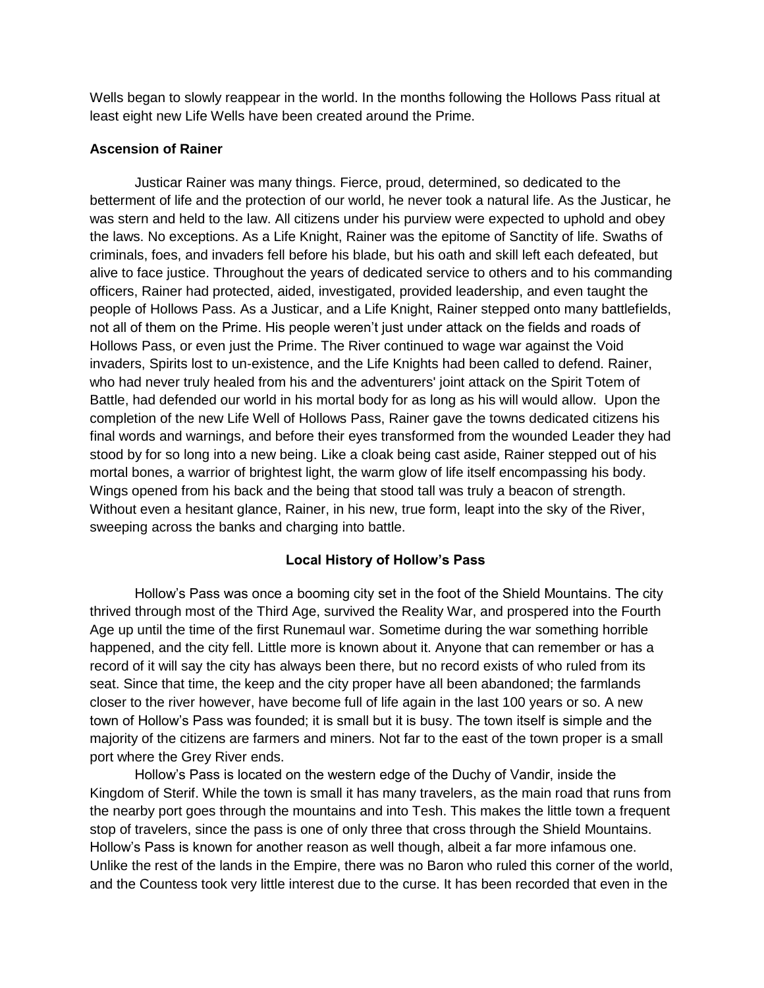Wells began to slowly reappear in the world. In the months following the Hollows Pass ritual at least eight new Life Wells have been created around the Prime.

## **Ascension of Rainer**

Justicar Rainer was many things. Fierce, proud, determined, so dedicated to the betterment of life and the protection of our world, he never took a natural life. As the Justicar, he was stern and held to the law. All citizens under his purview were expected to uphold and obey the laws. No exceptions. As a Life Knight, Rainer was the epitome of Sanctity of life. Swaths of criminals, foes, and invaders fell before his blade, but his oath and skill left each defeated, but alive to face justice. Throughout the years of dedicated service to others and to his commanding officers, Rainer had protected, aided, investigated, provided leadership, and even taught the people of Hollows Pass. As a Justicar, and a Life Knight, Rainer stepped onto many battlefields, not all of them on the Prime. His people weren't just under attack on the fields and roads of Hollows Pass, or even just the Prime. The River continued to wage war against the Void invaders, Spirits lost to un-existence, and the Life Knights had been called to defend. Rainer, who had never truly healed from his and the adventurers' joint attack on the Spirit Totem of Battle, had defended our world in his mortal body for as long as his will would allow. Upon the completion of the new Life Well of Hollows Pass, Rainer gave the towns dedicated citizens his final words and warnings, and before their eyes transformed from the wounded Leader they had stood by for so long into a new being. Like a cloak being cast aside, Rainer stepped out of his mortal bones, a warrior of brightest light, the warm glow of life itself encompassing his body. Wings opened from his back and the being that stood tall was truly a beacon of strength. Without even a hesitant glance, Rainer, in his new, true form, leapt into the sky of the River, sweeping across the banks and charging into battle.

# **Local History of Hollow's Pass**

Hollow's Pass was once a booming city set in the foot of the Shield Mountains. The city thrived through most of the Third Age, survived the Reality War, and prospered into the Fourth Age up until the time of the first Runemaul war. Sometime during the war something horrible happened, and the city fell. Little more is known about it. Anyone that can remember or has a record of it will say the city has always been there, but no record exists of who ruled from its seat. Since that time, the keep and the city proper have all been abandoned; the farmlands closer to the river however, have become full of life again in the last 100 years or so. A new town of Hollow's Pass was founded; it is small but it is busy. The town itself is simple and the majority of the citizens are farmers and miners. Not far to the east of the town proper is a small port where the Grey River ends.

Hollow's Pass is located on the western edge of the Duchy of Vandir, inside the Kingdom of Sterif. While the town is small it has many travelers, as the main road that runs from the nearby port goes through the mountains and into Tesh. This makes the little town a frequent stop of travelers, since the pass is one of only three that cross through the Shield Mountains. Hollow's Pass is known for another reason as well though, albeit a far more infamous one. Unlike the rest of the lands in the Empire, there was no Baron who ruled this corner of the world, and the Countess took very little interest due to the curse. It has been recorded that even in the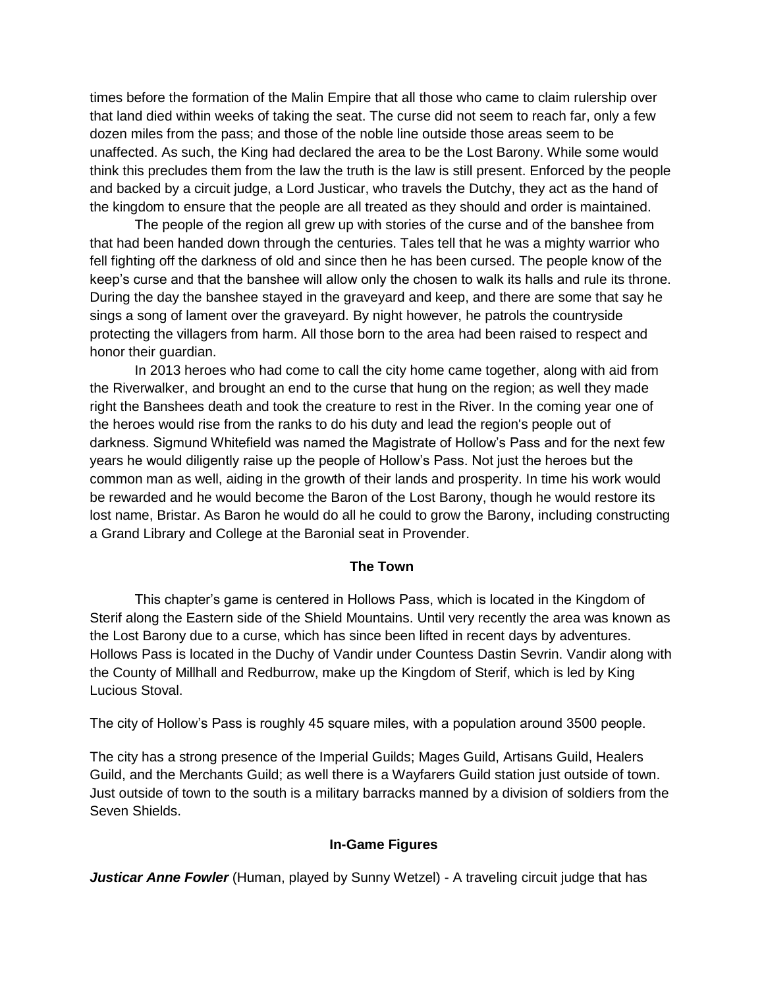times before the formation of the Malin Empire that all those who came to claim rulership over that land died within weeks of taking the seat. The curse did not seem to reach far, only a few dozen miles from the pass; and those of the noble line outside those areas seem to be unaffected. As such, the King had declared the area to be the Lost Barony. While some would think this precludes them from the law the truth is the law is still present. Enforced by the people and backed by a circuit judge, a Lord Justicar, who travels the Dutchy, they act as the hand of the kingdom to ensure that the people are all treated as they should and order is maintained.

The people of the region all grew up with stories of the curse and of the banshee from that had been handed down through the centuries. Tales tell that he was a mighty warrior who fell fighting off the darkness of old and since then he has been cursed. The people know of the keep's curse and that the banshee will allow only the chosen to walk its halls and rule its throne. During the day the banshee stayed in the graveyard and keep, and there are some that say he sings a song of lament over the graveyard. By night however, he patrols the countryside protecting the villagers from harm. All those born to the area had been raised to respect and honor their guardian.

In 2013 heroes who had come to call the city home came together, along with aid from the Riverwalker, and brought an end to the curse that hung on the region; as well they made right the Banshees death and took the creature to rest in the River. In the coming year one of the heroes would rise from the ranks to do his duty and lead the region's people out of darkness. Sigmund Whitefield was named the Magistrate of Hollow's Pass and for the next few years he would diligently raise up the people of Hollow's Pass. Not just the heroes but the common man as well, aiding in the growth of their lands and prosperity. In time his work would be rewarded and he would become the Baron of the Lost Barony, though he would restore its lost name, Bristar. As Baron he would do all he could to grow the Barony, including constructing a Grand Library and College at the Baronial seat in Provender.

### **The Town**

This chapter's game is centered in Hollows Pass, which is located in the Kingdom of Sterif along the Eastern side of the Shield Mountains. Until very recently the area was known as the Lost Barony due to a curse, which has since been lifted in recent days by adventures. Hollows Pass is located in the Duchy of Vandir under Countess Dastin Sevrin. Vandir along with the County of Millhall and Redburrow, make up the Kingdom of Sterif, which is led by King Lucious Stoval.

The city of Hollow's Pass is roughly 45 square miles, with a population around 3500 people.

The city has a strong presence of the Imperial Guilds; Mages Guild, Artisans Guild, Healers Guild, and the Merchants Guild; as well there is a Wayfarers Guild station just outside of town. Just outside of town to the south is a military barracks manned by a division of soldiers from the Seven Shields.

### **In-Game Figures**

**Justicar Anne Fowler** (Human, played by Sunny Wetzel) - A traveling circuit judge that has